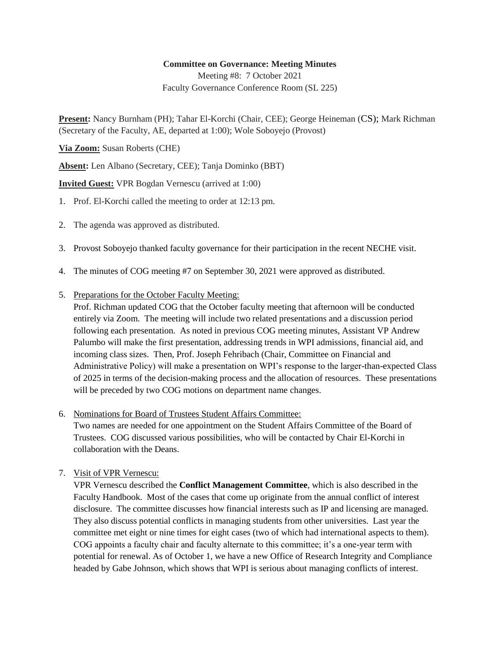## **Committee on Governance: Meeting Minutes**

Meeting #8: 7 October 2021 Faculty Governance Conference Room (SL 225)

**Present:** Nancy Burnham (PH); Tahar El-Korchi (Chair, CEE); George Heineman (CS); Mark Richman (Secretary of the Faculty, AE, departed at 1:00); Wole Soboyejo (Provost)

**Via Zoom:** Susan Roberts (CHE)

**Absent:** Len Albano (Secretary, CEE); Tanja Dominko (BBT)

**Invited Guest:** VPR Bogdan Vernescu (arrived at 1:00)

- 1. Prof. El-Korchi called the meeting to order at 12:13 pm.
- 2. The agenda was approved as distributed.
- 3. Provost Soboyejo thanked faculty governance for their participation in the recent NECHE visit.
- 4. The minutes of COG meeting #7 on September 30, 2021 were approved as distributed.
- 5. Preparations for the October Faculty Meeting:

Prof. Richman updated COG that the October faculty meeting that afternoon will be conducted entirely via Zoom. The meeting will include two related presentations and a discussion period following each presentation. As noted in previous COG meeting minutes, Assistant VP Andrew Palumbo will make the first presentation, addressing trends in WPI admissions, financial aid, and incoming class sizes. Then, Prof. Joseph Fehribach (Chair, Committee on Financial and Administrative Policy) will make a presentation on WPI's response to the larger-than-expected Class of 2025 in terms of the decision-making process and the allocation of resources. These presentations will be preceded by two COG motions on department name changes.

6. Nominations for Board of Trustees Student Affairs Committee:

Two names are needed for one appointment on the Student Affairs Committee of the Board of Trustees. COG discussed various possibilities, who will be contacted by Chair El-Korchi in collaboration with the Deans.

7. Visit of VPR Vernescu:

VPR Vernescu described the **Conflict Management Committee**, which is also described in the Faculty Handbook. Most of the cases that come up originate from the annual conflict of interest disclosure. The committee discusses how financial interests such as IP and licensing are managed. They also discuss potential conflicts in managing students from other universities. Last year the committee met eight or nine times for eight cases (two of which had international aspects to them). COG appoints a faculty chair and faculty alternate to this committee; it's a one-year term with potential for renewal. As of October 1, we have a new Office of Research Integrity and Compliance headed by Gabe Johnson, which shows that WPI is serious about managing conflicts of interest.